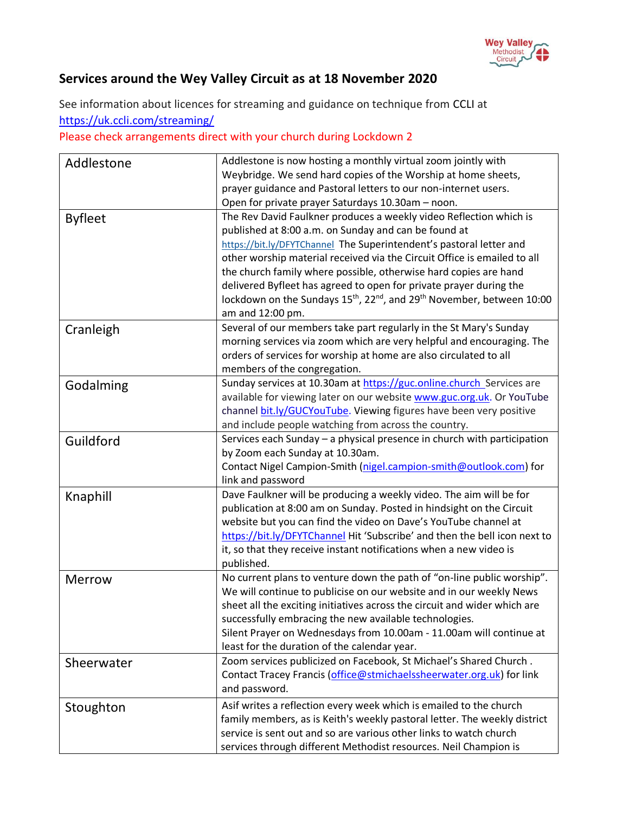

## **Services around the Wey Valley Circuit as at 18 November 2020**

See information about licences for streaming and guidance on technique from [CCLI](https://artserve.us8.list-manage.com/track/click?u=c2d1d9ca953fdf84333ea4bda&id=f3890112bb&e=05716758b6) at <https://uk.ccli.com/streaming/>

Please check arrangements direct with your church during Lockdown 2

| Addlestone     | Addlestone is now hosting a monthly virtual zoom jointly with<br>Weybridge. We send hard copies of the Worship at home sheets, |
|----------------|--------------------------------------------------------------------------------------------------------------------------------|
|                | prayer guidance and Pastoral letters to our non-internet users.                                                                |
|                | Open for private prayer Saturdays 10.30am - noon.                                                                              |
|                | The Rev David Faulkner produces a weekly video Reflection which is                                                             |
| <b>Byfleet</b> | published at 8:00 a.m. on Sunday and can be found at                                                                           |
|                | https://bit.ly/DFYTChannel The Superintendent's pastoral letter and                                                            |
|                | other worship material received via the Circuit Office is emailed to all                                                       |
|                | the church family where possible, otherwise hard copies are hand                                                               |
|                | delivered Byfleet has agreed to open for private prayer during the                                                             |
|                | lockdown on the Sundays 15 <sup>th</sup> , 22 <sup>nd</sup> , and 29 <sup>th</sup> November, between 10:00                     |
|                | am and 12:00 pm.                                                                                                               |
|                | Several of our members take part regularly in the St Mary's Sunday                                                             |
| Cranleigh      | morning services via zoom which are very helpful and encouraging. The                                                          |
|                | orders of services for worship at home are also circulated to all                                                              |
|                | members of the congregation.                                                                                                   |
|                | Sunday services at 10.30am at https://guc.online.church_Services are                                                           |
| Godalming      | available for viewing later on our website www.guc.org.uk. Or YouTube                                                          |
|                | channel bit.ly/GUCYouTube. Viewing figures have been very positive                                                             |
|                | and include people watching from across the country.                                                                           |
|                | Services each Sunday - a physical presence in church with participation                                                        |
| Guildford      | by Zoom each Sunday at 10.30am.                                                                                                |
|                | Contact Nigel Campion-Smith (nigel.campion-smith@outlook.com) for                                                              |
|                | link and password                                                                                                              |
| Knaphill       | Dave Faulkner will be producing a weekly video. The aim will be for                                                            |
|                | publication at 8:00 am on Sunday. Posted in hindsight on the Circuit                                                           |
|                | website but you can find the video on Dave's YouTube channel at                                                                |
|                | https://bit.ly/DFYTChannel Hit 'Subscribe' and then the bell icon next to                                                      |
|                | it, so that they receive instant notifications when a new video is                                                             |
|                | published.                                                                                                                     |
| <b>Merrow</b>  | No current plans to venture down the path of "on-line public worship".                                                         |
|                | We will continue to publicise on our website and in our weekly News                                                            |
|                | sheet all the exciting initiatives across the circuit and wider which are                                                      |
|                | successfully embracing the new available technologies.                                                                         |
|                | Silent Prayer on Wednesdays from 10.00am - 11.00am will continue at                                                            |
|                | least for the duration of the calendar year.                                                                                   |
| Sheerwater     | Zoom services publicized on Facebook, St Michael's Shared Church.                                                              |
|                | Contact Tracey Francis (office@stmichaelssheerwater.org.uk) for link                                                           |
|                | and password.                                                                                                                  |
| Stoughton      | Asif writes a reflection every week which is emailed to the church                                                             |
|                | family members, as is Keith's weekly pastoral letter. The weekly district                                                      |
|                | service is sent out and so are various other links to watch church                                                             |
|                | services through different Methodist resources. Neil Champion is                                                               |